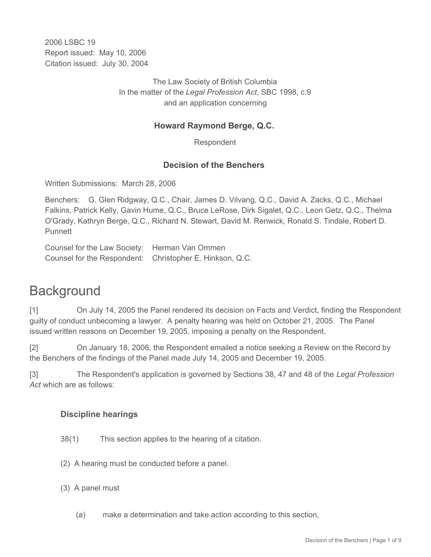2006 LSBC 19 Report issued: May 10, 2006 Citation issued: July 30, 2004

> The Law Society of British Columbia In the matter of the *Legal Profession Act*, SBC 1998, c.9 and an application concerning

# **Howard Raymond Berge, Q.C.**

Respondent

## **Decision of the Benchers**

Written Submissions: March 28, 2006

Benchers: G. Glen Ridgway, Q.C., Chair, James D. Vilvang, Q.C., David A. Zacks, Q.C., Michael Falkins, Patrick Kelly, Gavin Hume, Q.C., Bruce LeRose, Dirk Sigalet, Q.C., Leon Getz, Q.C., Thelma O'Grady, Kathryn Berge, Q.C., Richard N. Stewart, David M. Renwick, Ronald S. Tindale, Robert D. **Punnett** 

Counsel for the Law Society: Herman Van Ommen Counsel for the Respondent: Christopher E. Hinkson, Q.C.

# **Background**

[1] On July 14, 2005 the Panel rendered its decision on Facts and Verdict, finding the Respondent guilty of conduct unbecoming a lawyer. A penalty hearing was held on October 21, 2005. The Panel issued written reasons on December 19, 2005, imposing a penalty on the Respondent.

[2] On January 18, 2006, the Respondent emailed a notice seeking a Review on the Record by the Benchers of the findings of the Panel made July 14, 2005 and December 19, 2005.

[3] The Respondent's application is governed by Sections 38, 47 and 48 of the *Legal Profession Act* which are as follows:

## **Discipline hearings**

- 38(1) This section applies to the hearing of a citation.
- (2) A hearing must be conducted before a panel.
- (3) A panel must
	- (a) make a determination and take action according to this section,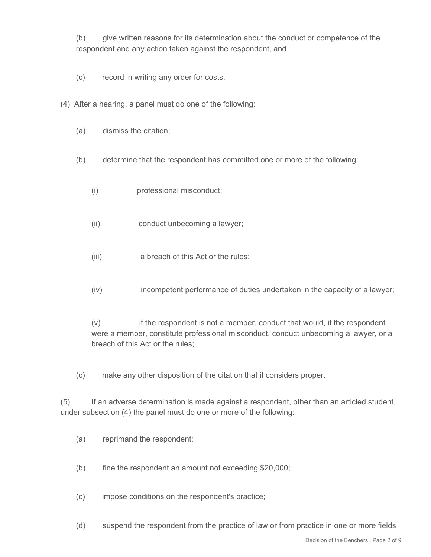(b) give written reasons for its determination about the conduct or competence of the respondent and any action taken against the respondent, and

- (c) record in writing any order for costs.
- (4) After a hearing, a panel must do one of the following:
	- (a) dismiss the citation;
	- (b) determine that the respondent has committed one or more of the following:
		- (i) professional misconduct;
		- (ii) conduct unbecoming a lawyer;
		- (iii) a breach of this Act or the rules;
		- (iv) incompetent performance of duties undertaken in the capacity of a lawyer;

(v) if the respondent is not a member, conduct that would, if the respondent were a member, constitute professional misconduct, conduct unbecoming a lawyer, or a breach of this Act or the rules;

(c) make any other disposition of the citation that it considers proper.

(5) If an adverse determination is made against a respondent, other than an articled student, under subsection (4) the panel must do one or more of the following:

- (a) reprimand the respondent;
- (b) fine the respondent an amount not exceeding \$20,000;

(c) impose conditions on the respondent's practice;

(d) suspend the respondent from the practice of law or from practice in one or more fields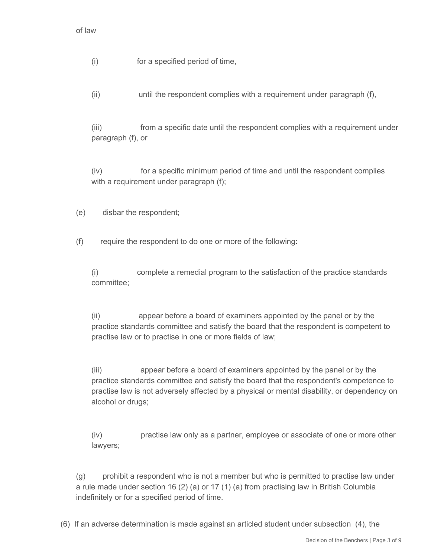(i) for a specified period of time,

(ii) until the respondent complies with a requirement under paragraph (f),

(iii) from a specific date until the respondent complies with a requirement under paragraph (f), or

(iv) for a specific minimum period of time and until the respondent complies with a requirement under paragraph (f);

(e) disbar the respondent;

(f) require the respondent to do one or more of the following:

(i) complete a remedial program to the satisfaction of the practice standards committee;

(ii) appear before a board of examiners appointed by the panel or by the practice standards committee and satisfy the board that the respondent is competent to practise law or to practise in one or more fields of law;

(iii) appear before a board of examiners appointed by the panel or by the practice standards committee and satisfy the board that the respondent's competence to practise law is not adversely affected by a physical or mental disability, or dependency on alcohol or drugs;

(iv) practise law only as a partner, employee or associate of one or more other lawyers;

(g) prohibit a respondent who is not a member but who is permitted to practise law under a rule made under section 16 (2) (a) or 17 (1) (a) from practising law in British Columbia indefinitely or for a specified period of time.

(6) If an adverse determination is made against an articled student under subsection (4), the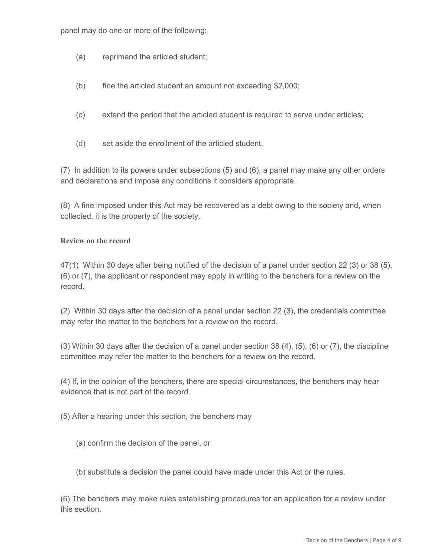panel may do one or more of the following:

- (a) reprimand the articled student;
- (b) fine the articled student an amount not exceeding \$2,000;
- (c) extend the period that the articled student is required to serve under articles;
- (d) set aside the enrollment of the articled student.

(7) In addition to its powers under subsections (5) and (6), a panel may make any other orders and declarations and impose any conditions it considers appropriate.

(8) A fine imposed under this Act may be recovered as a debt owing to the society and, when collected, it is the property of the society.

#### **Review on the record**

47(1) Within 30 days after being notified of the decision of a panel under section 22 (3) or 38 (5), (6) or (7), the applicant or respondent may apply in writing to the benchers for a review on the record.

(2) Within 30 days after the decision of a panel under section 22 (3), the credentials committee may refer the matter to the benchers for a review on the record.

(3) Within 30 days after the decision of a panel under section 38 (4), (5), (6) or (7), the discipline committee may refer the matter to the benchers for a review on the record.

(4) If, in the opinion of the benchers, there are special circumstances, the benchers may hear evidence that is not part of the record.

(5) After a hearing under this section, the benchers may

- (a) confirm the decision of the panel, or
- (b) substitute a decision the panel could have made under this Act or the rules.

(6) The benchers may make rules establishing procedures for an application for a review under this section.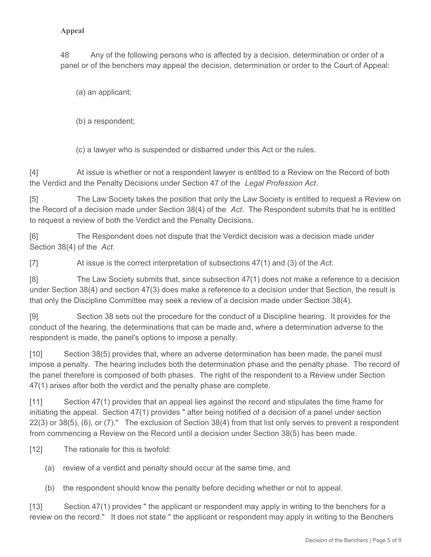## **Appeal**

48 Any of the following persons who is affected by a decision, determination or order of a panel or of the benchers may appeal the decision, determination or order to the Court of Appeal:

(a) an applicant;

(b) a respondent;

(c) a lawyer who is suspended or disbarred under this Act or the rules.

[4] At issue is whether or not a respondent lawyer is entitled to a Review on the Record of both the Verdict and the Penalty Decisions under Section 47 of the *Legal Profession Act*.

[5] The Law Society takes the position that only the Law Society is entitled to request a Review on the Record of a decision made under Section 38(4) of the *Act*. The Respondent submits that he is entitled to request a review of both the Verdict and the Penalty Decisions.

[6] The Respondent does not dispute that the Verdict decision was a decision made under Section 38(4) of the *Act*.

[7] At issue is the correct interpretation of subsections 47(1) and (3) of the *Act*.

[8] The Law Society submits that, since subsection 47(1) does not make a reference to a decision under Section 38(4) and section 47(3) does make a reference to a decision under that Section, the result is that only the Discipline Committee may seek a review of a decision made under Section 38(4).

[9] Section 38 sets out the procedure for the conduct of a Discipline hearing. It provides for the conduct of the hearing, the determinations that can be made and, where a determination adverse to the respondent is made, the panel's options to impose a penalty.

[10] Section 38(5) provides that, where an adverse determination has been made, the panel must impose a penalty. The hearing includes both the determination phase and the penalty phase. The record of the panel therefore is composed of both phases. The right of the respondent to a Review under Section 47(1) arises after both the verdict and the penalty phase are complete.

[11] Section 47(1) provides that an appeal lies against the record and stipulates the time frame for initiating the appeal. Section 47(1) provides " after being notified of a decision of a panel under section 22(3) or 38(5), (6), or (7)." The exclusion of Section 38(4) from that list only serves to prevent a respondent from commencing a Review on the Record until a decision under Section 38(5) has been made.

[12] The rationale for this is twofold:

- (a) review of a verdict and penalty should occur at the same time, and
- (b) the respondent should know the penalty before deciding whether or not to appeal.

[13] Section 47(1) provides " the applicant or respondent may apply in writing to the benchers for a review on the record." It does not state " the applicant or respondent may apply in writing to the Benchers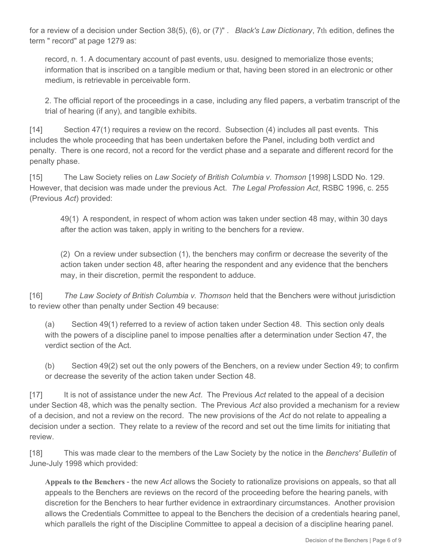for a review of a decision under Section 38(5), (6), or (7)" . *Black's Law Dictionary*, 7th edition, defines the term " record" at page 1279 as:

record, n. 1. A documentary account of past events, usu. designed to memorialize those events; information that is inscribed on a tangible medium or that, having been stored in an electronic or other medium, is retrievable in perceivable form.

2. The official report of the proceedings in a case, including any filed papers, a verbatim transcript of the trial of hearing (if any), and tangible exhibits.

[14] Section 47(1) requires a review on the record. Subsection (4) includes all past events. This includes the whole proceeding that has been undertaken before the Panel, including both verdict and penalty. There is one record, not a record for the verdict phase and a separate and different record for the penalty phase.

[15] The Law Society relies on *Law Society of British Columbia v. Thomson* [1998] LSDD No. 129. However, that decision was made under the previous Act. *The Legal Profession Act*, RSBC 1996, c. 255 (Previous *Act*) provided:

49(1) A respondent, in respect of whom action was taken under section 48 may, within 30 days after the action was taken, apply in writing to the benchers for a review.

(2) On a review under subsection (1), the benchers may confirm or decrease the severity of the action taken under section 48, after hearing the respondent and any evidence that the benchers may, in their discretion, permit the respondent to adduce.

[16] *The Law Society of British Columbia v. Thomson* held that the Benchers were without jurisdiction to review other than penalty under Section 49 because:

(a) Section 49(1) referred to a review of action taken under Section 48. This section only deals with the powers of a discipline panel to impose penalties after a determination under Section 47, the verdict section of the Act.

(b) Section 49(2) set out the only powers of the Benchers, on a review under Section 49; to confirm or decrease the severity of the action taken under Section 48.

[17] It is not of assistance under the new *Act*. The Previous *Act* related to the appeal of a decision under Section 48, which was the penalty section. The Previous *Act* also provided a mechanism for a review of a decision, and not a review on the record. The new provisions of the *Act* do not relate to appealing a decision under a section. They relate to a review of the record and set out the time limits for initiating that review.

[18] This was made clear to the members of the Law Society by the notice in the *Benchers' Bulletin* of June-July 1998 which provided:

**Appeals to the Benchers** - the new *Act* allows the Society to rationalize provisions on appeals, so that all appeals to the Benchers are reviews on the record of the proceeding before the hearing panels, with discretion for the Benchers to hear further evidence in extraordinary circumstances. Another provision allows the Credentials Committee to appeal to the Benchers the decision of a credentials hearing panel, which parallels the right of the Discipline Committee to appeal a decision of a discipline hearing panel.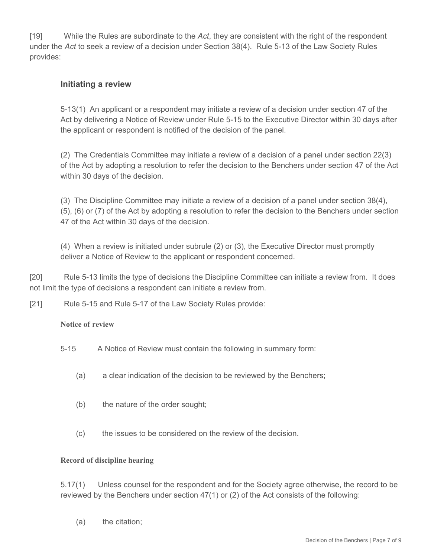[19] While the Rules are subordinate to the *Act*, they are consistent with the right of the respondent under the *Act* to seek a review of a decision under Section 38(4). Rule 5-13 of the Law Society Rules provides:

# **Initiating a review**

5-13(1) An applicant or a respondent may initiate a review of a decision under section 47 of the Act by delivering a Notice of Review under Rule 5-15 to the Executive Director within 30 days after the applicant or respondent is notified of the decision of the panel.

(2) The Credentials Committee may initiate a review of a decision of a panel under section 22(3) of the Act by adopting a resolution to refer the decision to the Benchers under section 47 of the Act within 30 days of the decision.

(3) The Discipline Committee may initiate a review of a decision of a panel under section 38(4), (5), (6) or (7) of the Act by adopting a resolution to refer the decision to the Benchers under section 47 of the Act within 30 days of the decision.

(4) When a review is initiated under subrule (2) or (3), the Executive Director must promptly deliver a Notice of Review to the applicant or respondent concerned.

[20] Rule 5-13 limits the type of decisions the Discipline Committee can initiate a review from. It does not limit the type of decisions a respondent can initiate a review from.

[21] Rule 5-15 and Rule 5-17 of the Law Society Rules provide:

## **Notice of review**

5-15 A Notice of Review must contain the following in summary form:

- (a) a clear indication of the decision to be reviewed by the Benchers;
- (b) the nature of the order sought;
- (c) the issues to be considered on the review of the decision.

## **Record of discipline hearing**

5.17(1) Unless counsel for the respondent and for the Society agree otherwise, the record to be reviewed by the Benchers under section 47(1) or (2) of the Act consists of the following:

(a) the citation;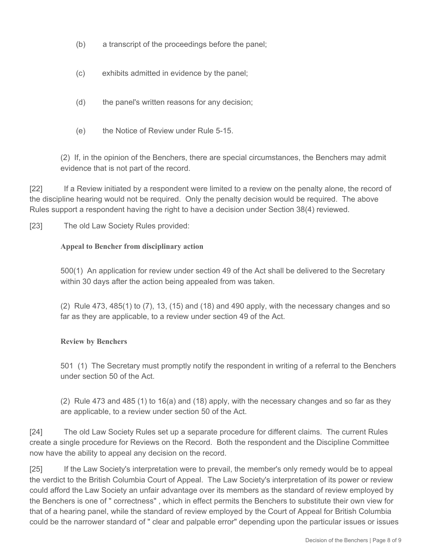- (b) a transcript of the proceedings before the panel;
- (c) exhibits admitted in evidence by the panel;
- (d) the panel's written reasons for any decision;
- (e) the Notice of Review under Rule 5-15.

(2) If, in the opinion of the Benchers, there are special circumstances, the Benchers may admit evidence that is not part of the record.

[22] If a Review initiated by a respondent were limited to a review on the penalty alone, the record of the discipline hearing would not be required. Only the penalty decision would be required. The above Rules support a respondent having the right to have a decision under Section 38(4) reviewed.

[23] The old Law Society Rules provided:

#### **Appeal to Bencher from disciplinary action**

500(1) An application for review under section 49 of the Act shall be delivered to the Secretary within 30 days after the action being appealed from was taken.

(2) Rule 473, 485(1) to (7), 13, (15) and (18) and 490 apply, with the necessary changes and so far as they are applicable, to a review under section 49 of the Act.

## **Review by Benchers**

501 (1) The Secretary must promptly notify the respondent in writing of a referral to the Benchers under section 50 of the Act.

(2) Rule 473 and 485 (1) to 16(a) and (18) apply, with the necessary changes and so far as they are applicable, to a review under section 50 of the Act.

[24] The old Law Society Rules set up a separate procedure for different claims. The current Rules create a single procedure for Reviews on the Record. Both the respondent and the Discipline Committee now have the ability to appeal any decision on the record.

[25] If the Law Society's interpretation were to prevail, the member's only remedy would be to appeal the verdict to the British Columbia Court of Appeal. The Law Society's interpretation of its power or review could afford the Law Society an unfair advantage over its members as the standard of review employed by the Benchers is one of " correctness" , which in effect permits the Benchers to substitute their own view for that of a hearing panel, while the standard of review employed by the Court of Appeal for British Columbia could be the narrower standard of " clear and palpable error" depending upon the particular issues or issues